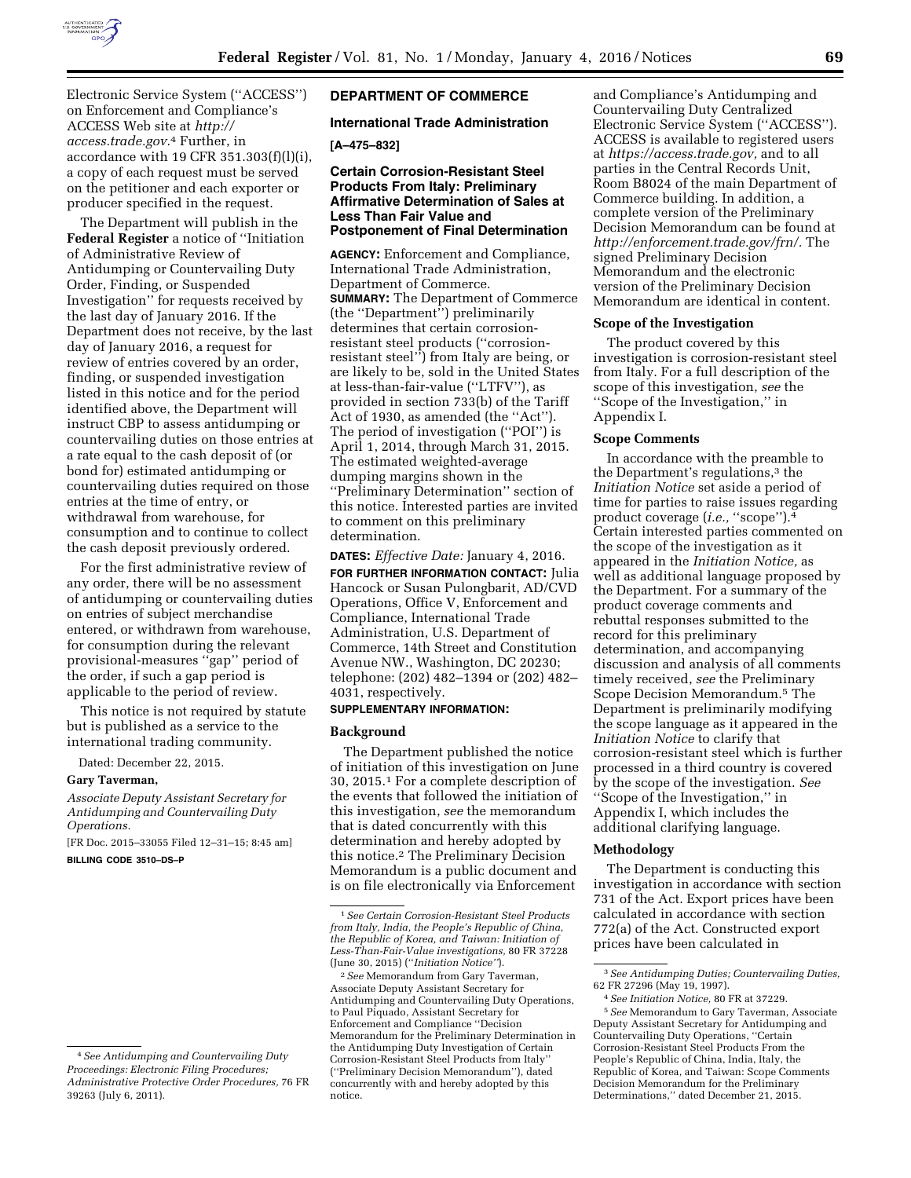

Electronic Service System (''ACCESS'') on Enforcement and Compliance's ACCESS Web site at *[http://](http://access.trade.gov) [access.trade.gov.](http://access.trade.gov)*4 Further, in accordance with 19 CFR 351.303(f)(l)(i), a copy of each request must be served on the petitioner and each exporter or producer specified in the request.

The Department will publish in the **Federal Register** a notice of ''Initiation of Administrative Review of Antidumping or Countervailing Duty Order, Finding, or Suspended Investigation'' for requests received by the last day of January 2016. If the Department does not receive, by the last day of January 2016, a request for review of entries covered by an order, finding, or suspended investigation listed in this notice and for the period identified above, the Department will instruct CBP to assess antidumping or countervailing duties on those entries at a rate equal to the cash deposit of (or bond for) estimated antidumping or countervailing duties required on those entries at the time of entry, or withdrawal from warehouse, for consumption and to continue to collect the cash deposit previously ordered.

For the first administrative review of any order, there will be no assessment of antidumping or countervailing duties on entries of subject merchandise entered, or withdrawn from warehouse, for consumption during the relevant provisional-measures ''gap'' period of the order, if such a gap period is applicable to the period of review.

This notice is not required by statute but is published as a service to the international trading community.

Dated: December 22, 2015.

#### **Gary Taverman,**

*Associate Deputy Assistant Secretary for Antidumping and Countervailing Duty Operations.* 

[FR Doc. 2015–33055 Filed 12–31–15; 8:45 am] **BILLING CODE 3510–DS–P** 

# **DEPARTMENT OF COMMERCE**

# **International Trade Administration**

# **[A–475–832]**

# **Certain Corrosion-Resistant Steel Products From Italy: Preliminary Affirmative Determination of Sales at Less Than Fair Value and Postponement of Final Determination**

**AGENCY:** Enforcement and Compliance, International Trade Administration, Department of Commerce. **SUMMARY:** The Department of Commerce (the ''Department'') preliminarily determines that certain corrosionresistant steel products (''corrosionresistant steel'') from Italy are being, or are likely to be, sold in the United States at less-than-fair-value (''LTFV''), as provided in section 733(b) of the Tariff Act of 1930, as amended (the ''Act''). The period of investigation (''POI'') is April 1, 2014, through March 31, 2015. The estimated weighted-average dumping margins shown in the ''Preliminary Determination'' section of this notice. Interested parties are invited to comment on this preliminary determination.

**DATES:** *Effective Date:* January 4, 2016. **FOR FURTHER INFORMATION CONTACT:** Julia Hancock or Susan Pulongbarit, AD/CVD Operations, Office V, Enforcement and Compliance, International Trade Administration, U.S. Department of Commerce, 14th Street and Constitution Avenue NW., Washington, DC 20230; telephone: (202) 482–1394 or (202) 482– 4031, respectively.

## **SUPPLEMENTARY INFORMATION:**

### **Background**

The Department published the notice of initiation of this investigation on June 30, 2015.1 For a complete description of the events that followed the initiation of this investigation, *see* the memorandum that is dated concurrently with this determination and hereby adopted by this notice.2 The Preliminary Decision Memorandum is a public document and is on file electronically via Enforcement

and Compliance's Antidumping and Countervailing Duty Centralized Electronic Service System (''ACCESS''). ACCESS is available to registered users at *[https://access.trade.gov,](https://access.trade.gov)* and to all parties in the Central Records Unit, Room B8024 of the main Department of Commerce building. In addition, a complete version of the Preliminary Decision Memorandum can be found at *[http://enforcement.trade.gov/frn/.](http://enforcement.trade.gov/frn/)* The signed Preliminary Decision Memorandum and the electronic version of the Preliminary Decision Memorandum are identical in content.

### **Scope of the Investigation**

The product covered by this investigation is corrosion-resistant steel from Italy. For a full description of the scope of this investigation, *see* the ''Scope of the Investigation,'' in Appendix I.

## **Scope Comments**

In accordance with the preamble to the Department's regulations,3 the *Initiation Notice* set aside a period of time for parties to raise issues regarding product coverage (*i.e.,* ''scope'').4 Certain interested parties commented on the scope of the investigation as it appeared in the *Initiation Notice,* as well as additional language proposed by the Department. For a summary of the product coverage comments and rebuttal responses submitted to the record for this preliminary determination, and accompanying discussion and analysis of all comments timely received, *see* the Preliminary Scope Decision Memorandum.5 The Department is preliminarily modifying the scope language as it appeared in the *Initiation Notice* to clarify that corrosion-resistant steel which is further processed in a third country is covered by the scope of the investigation. *See*  ''Scope of the Investigation,'' in Appendix I, which includes the additional clarifying language.

### **Methodology**

The Department is conducting this investigation in accordance with section 731 of the Act. Export prices have been calculated in accordance with section 772(a) of the Act. Constructed export prices have been calculated in

<sup>4</sup>*See Antidumping and Countervailing Duty Proceedings: Electronic Filing Procedures; Administrative Protective Order Procedures,* 76 FR 39263 (July 6, 2011).

<sup>1</sup>*See Certain Corrosion-Resistant Steel Products from Italy, India, the People's Republic of China, the Republic of Korea, and Taiwan: Initiation of Less-Than-Fair-Value investigations,* 80 FR 37228 (June 30, 2015) (''*Initiation Notice''*).

<sup>2</sup>*See* Memorandum from Gary Taverman, Associate Deputy Assistant Secretary for Antidumping and Countervailing Duty Operations, to Paul Piquado, Assistant Secretary for Enforcement and Compliance ''Decision Memorandum for the Preliminary Determination in the Antidumping Duty Investigation of Certain Corrosion-Resistant Steel Products from Italy'' (''Preliminary Decision Memorandum''), dated concurrently with and hereby adopted by this notice.

<sup>3</sup>*See Antidumping Duties; Countervailing Duties,*  62 FR 27296 (May 19, 1997).

<sup>4</sup>*See Initiation Notice,* 80 FR at 37229.

<sup>5</sup>*See* Memorandum to Gary Taverman, Associate Deputy Assistant Secretary for Antidumping and Countervailing Duty Operations, ''Certain Corrosion-Resistant Steel Products From the People's Republic of China, India, Italy, the Republic of Korea, and Taiwan: Scope Comments Decision Memorandum for the Preliminary Determinations,'' dated December 21, 2015.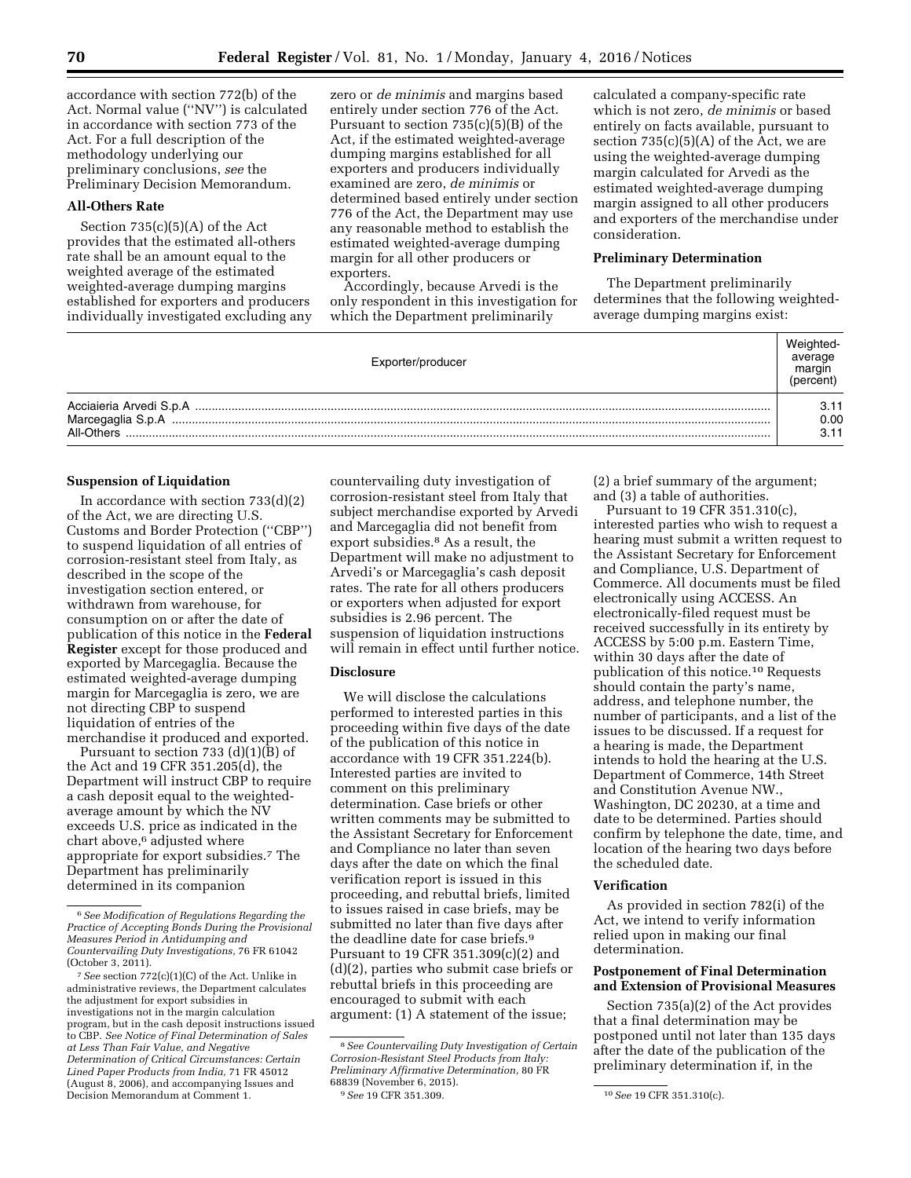accordance with section 772(b) of the Act. Normal value (''NV'') is calculated in accordance with section 773 of the Act. For a full description of the methodology underlying our preliminary conclusions, *see* the Preliminary Decision Memorandum.

## **All-Others Rate**

Section 735(c)(5)(A) of the Act provides that the estimated all-others rate shall be an amount equal to the weighted average of the estimated weighted-average dumping margins established for exporters and producers individually investigated excluding any zero or *de minimis* and margins based entirely under section 776 of the Act. Pursuant to section 735(c)(5)(B) of the Act, if the estimated weighted-average dumping margins established for all exporters and producers individually examined are zero, *de minimis* or determined based entirely under section 776 of the Act, the Department may use any reasonable method to establish the estimated weighted-average dumping margin for all other producers or exporters.

Accordingly, because Arvedi is the only respondent in this investigation for which the Department preliminarily

calculated a company-specific rate which is not zero, *de minimis* or based entirely on facts available, pursuant to section  $735(c)(5)(A)$  of the Act, we are using the weighted-average dumping margin calculated for Arvedi as the estimated weighted-average dumping margin assigned to all other producers and exporters of the merchandise under consideration.

### **Preliminary Determination**

The Department preliminarily determines that the following weightedaverage dumping margins exist:

| Exporter/producer | Weighted-<br>average<br>margin<br>'percent, |
|-------------------|---------------------------------------------|
| All-Others        | 3.11<br>0.00<br>3.11                        |

# **Suspension of Liquidation**

In accordance with section  $733(d)(2)$ of the Act, we are directing U.S. Customs and Border Protection (''CBP'') to suspend liquidation of all entries of corrosion-resistant steel from Italy, as described in the scope of the investigation section entered, or withdrawn from warehouse, for consumption on or after the date of publication of this notice in the **Federal Register** except for those produced and exported by Marcegaglia. Because the estimated weighted-average dumping margin for Marcegaglia is zero, we are not directing CBP to suspend liquidation of entries of the merchandise it produced and exported.

Pursuant to section 733 (d)(1)(B) of the Act and 19 CFR 351.205(d), the Department will instruct CBP to require a cash deposit equal to the weightedaverage amount by which the NV exceeds U.S. price as indicated in the chart above,6 adjusted where appropriate for export subsidies.7 The Department has preliminarily determined in its companion

countervailing duty investigation of corrosion-resistant steel from Italy that subject merchandise exported by Arvedi and Marcegaglia did not benefit from export subsidies.8 As a result, the Department will make no adjustment to Arvedi's or Marcegaglia's cash deposit rates. The rate for all others producers or exporters when adjusted for export subsidies is 2.96 percent. The suspension of liquidation instructions will remain in effect until further notice.

# **Disclosure**

We will disclose the calculations performed to interested parties in this proceeding within five days of the date of the publication of this notice in accordance with 19 CFR 351.224(b). Interested parties are invited to comment on this preliminary determination. Case briefs or other written comments may be submitted to the Assistant Secretary for Enforcement and Compliance no later than seven days after the date on which the final verification report is issued in this proceeding, and rebuttal briefs, limited to issues raised in case briefs, may be submitted no later than five days after the deadline date for case briefs.9 Pursuant to 19 CFR 351.309(c)(2) and (d)(2), parties who submit case briefs or rebuttal briefs in this proceeding are encouraged to submit with each argument: (1) A statement of the issue;

(2) a brief summary of the argument; and (3) a table of authorities.

Pursuant to 19 CFR 351.310(c), interested parties who wish to request a hearing must submit a written request to the Assistant Secretary for Enforcement and Compliance, U.S. Department of Commerce. All documents must be filed electronically using ACCESS. An electronically-filed request must be received successfully in its entirety by ACCESS by 5:00 p.m. Eastern Time, within 30 days after the date of publication of this notice.10 Requests should contain the party's name, address, and telephone number, the number of participants, and a list of the issues to be discussed. If a request for a hearing is made, the Department intends to hold the hearing at the U.S. Department of Commerce, 14th Street and Constitution Avenue NW., Washington, DC 20230, at a time and date to be determined. Parties should confirm by telephone the date, time, and location of the hearing two days before the scheduled date.

## **Verification**

As provided in section 782(i) of the Act, we intend to verify information relied upon in making our final determination.

# **Postponement of Final Determination and Extension of Provisional Measures**

Section 735(a)(2) of the Act provides that a final determination may be postponed until not later than 135 days after the date of the publication of the preliminary determination if, in the

<sup>6</sup>*See Modification of Regulations Regarding the Practice of Accepting Bonds During the Provisional Measures Period in Antidumping and Countervailing Duty Investigations,* 76 FR 61042 (October 3, 2011).

<sup>7</sup>*See* section 772(c)(1)(C) of the Act. Unlike in administrative reviews, the Department calculates the adjustment for export subsidies in investigations not in the margin calculation program, but in the cash deposit instructions issued to CBP. *See Notice of Final Determination of Sales at Less Than Fair Value, and Negative Determination of Critical Circumstances: Certain Lined Paper Products from India,* 71 FR 45012 (August 8, 2006), and accompanying Issues and Decision Memorandum at Comment 1.

<sup>8</sup>*See Countervailing Duty Investigation of Certain Corrosion-Resistant Steel Products from Italy: Preliminary Affirmative Determination,* 80 FR 68839 (November 6, 2015).<br><sup>9</sup> See 19 CFR 351.309.

<sup>9</sup>*See* 19 CFR 351.309. 10*See* 19 CFR 351.310(c).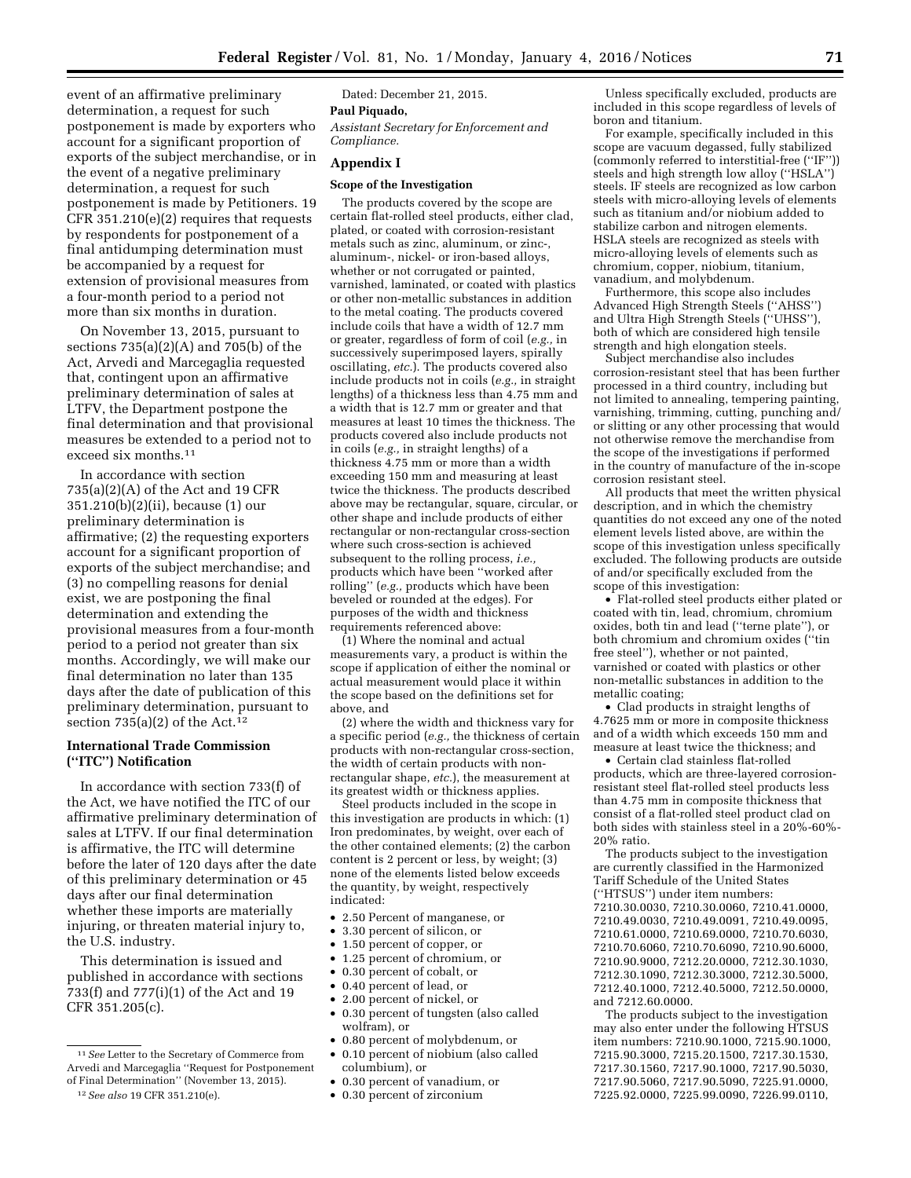event of an affirmative preliminary determination, a request for such postponement is made by exporters who account for a significant proportion of exports of the subject merchandise, or in the event of a negative preliminary determination, a request for such postponement is made by Petitioners. 19 CFR 351.210(e)(2) requires that requests by respondents for postponement of a final antidumping determination must be accompanied by a request for extension of provisional measures from a four-month period to a period not more than six months in duration.

On November 13, 2015, pursuant to sections  $735(a)(2)(A)$  and  $705(b)$  of the Act, Arvedi and Marcegaglia requested that, contingent upon an affirmative preliminary determination of sales at LTFV, the Department postpone the final determination and that provisional measures be extended to a period not to exceed six months.11

In accordance with section 735(a)(2)(A) of the Act and 19 CFR 351.210(b)(2)(ii), because (1) our preliminary determination is affirmative; (2) the requesting exporters account for a significant proportion of exports of the subject merchandise; and (3) no compelling reasons for denial exist, we are postponing the final determination and extending the provisional measures from a four-month period to a period not greater than six months. Accordingly, we will make our final determination no later than 135 days after the date of publication of this preliminary determination, pursuant to section  $735(a)(2)$  of the Act.<sup>12</sup>

# **International Trade Commission (''ITC'') Notification**

In accordance with section 733(f) of the Act, we have notified the ITC of our affirmative preliminary determination of sales at LTFV. If our final determination is affirmative, the ITC will determine before the later of 120 days after the date of this preliminary determination or 45 days after our final determination whether these imports are materially injuring, or threaten material injury to, the U.S. industry.

This determination is issued and published in accordance with sections 733(f) and 777(i)(1) of the Act and 19 CFR 351.205(c).

# 12*See also* 19 CFR 351.210(e).

Dated: December 21, 2015.

# **Paul Piquado,**

*Assistant Secretary for Enforcement and Compliance.* 

# **Appendix I**

# **Scope of the Investigation**

The products covered by the scope are certain flat-rolled steel products, either clad, plated, or coated with corrosion-resistant metals such as zinc, aluminum, or zinc-, aluminum-, nickel- or iron-based alloys, whether or not corrugated or painted, varnished, laminated, or coated with plastics or other non-metallic substances in addition to the metal coating. The products covered include coils that have a width of 12.7 mm or greater, regardless of form of coil (*e.g.,* in successively superimposed layers, spirally oscillating, *etc.*). The products covered also include products not in coils (*e.g.,* in straight lengths) of a thickness less than 4.75 mm and a width that is 12.7 mm or greater and that measures at least 10 times the thickness. The products covered also include products not in coils (*e.g.,* in straight lengths) of a thickness 4.75 mm or more than a width exceeding 150 mm and measuring at least twice the thickness. The products described above may be rectangular, square, circular, or other shape and include products of either rectangular or non-rectangular cross-section where such cross-section is achieved subsequent to the rolling process, *i.e.,*  products which have been ''worked after rolling'' (*e.g.,* products which have been beveled or rounded at the edges). For purposes of the width and thickness requirements referenced above:

(1) Where the nominal and actual measurements vary, a product is within the scope if application of either the nominal or actual measurement would place it within the scope based on the definitions set for above, and

(2) where the width and thickness vary for a specific period (*e.g.,* the thickness of certain products with non-rectangular cross-section, the width of certain products with nonrectangular shape, *etc.*), the measurement at its greatest width or thickness applies.

Steel products included in the scope in this investigation are products in which: (1) Iron predominates, by weight, over each of the other contained elements; (2) the carbon content is 2 percent or less, by weight; (3) none of the elements listed below exceeds the quantity, by weight, respectively indicated:

- 2.50 Percent of manganese, or
- 3.30 percent of silicon, or
- 1.50 percent of copper, or
- 1.25 percent of chromium, or
- 0.30 percent of cobalt, or
- 0.40 percent of lead, or
- 2.00 percent of nickel, or • 0.30 percent of tungsten (also called
- wolfram), or • 0.80 percent of molybdenum, or
- 0.10 percent of niobium (also called columbium), or
- 0.30 percent of vanadium, or
- 0.30 percent of zirconium

Unless specifically excluded, products are included in this scope regardless of levels of boron and titanium.

For example, specifically included in this scope are vacuum degassed, fully stabilized (commonly referred to interstitial-free (''IF'')) steels and high strength low alloy (''HSLA'') steels. IF steels are recognized as low carbon steels with micro-alloying levels of elements such as titanium and/or niobium added to stabilize carbon and nitrogen elements. HSLA steels are recognized as steels with micro-alloying levels of elements such as chromium, copper, niobium, titanium, vanadium, and molybdenum.

Furthermore, this scope also includes Advanced High Strength Steels (''AHSS'') and Ultra High Strength Steels (''UHSS''), both of which are considered high tensile strength and high elongation steels.

Subject merchandise also includes corrosion-resistant steel that has been further processed in a third country, including but not limited to annealing, tempering painting, varnishing, trimming, cutting, punching and/ or slitting or any other processing that would not otherwise remove the merchandise from the scope of the investigations if performed in the country of manufacture of the in-scope corrosion resistant steel.

All products that meet the written physical description, and in which the chemistry quantities do not exceed any one of the noted element levels listed above, are within the scope of this investigation unless specifically excluded. The following products are outside of and/or specifically excluded from the scope of this investigation:

• Flat-rolled steel products either plated or coated with tin, lead, chromium, chromium oxides, both tin and lead (''terne plate''), or both chromium and chromium oxides (''tin free steel''), whether or not painted, varnished or coated with plastics or other non-metallic substances in addition to the metallic coating;

• Clad products in straight lengths of 4.7625 mm or more in composite thickness and of a width which exceeds 150 mm and measure at least twice the thickness; and

• Certain clad stainless flat-rolled products, which are three-layered corrosionresistant steel flat-rolled steel products less than 4.75 mm in composite thickness that consist of a flat-rolled steel product clad on both sides with stainless steel in a 20%-60%- 20% ratio.

The products subject to the investigation are currently classified in the Harmonized Tariff Schedule of the United States (''HTSUS'') under item numbers: 7210.30.0030, 7210.30.0060, 7210.41.0000, 7210.49.0030, 7210.49.0091, 7210.49.0095, 7210.61.0000, 7210.69.0000, 7210.70.6030, 7210.70.6060, 7210.70.6090, 7210.90.6000, 7210.90.9000, 7212.20.0000, 7212.30.1030, 7212.30.1090, 7212.30.3000, 7212.30.5000, 7212.40.1000, 7212.40.5000, 7212.50.0000, and 7212.60.0000.

The products subject to the investigation may also enter under the following HTSUS item numbers: 7210.90.1000, 7215.90.1000, 7215.90.3000, 7215.20.1500, 7217.30.1530, 7217.30.1560, 7217.90.1000, 7217.90.5030, 7217.90.5060, 7217.90.5090, 7225.91.0000, 7225.92.0000, 7225.99.0090, 7226.99.0110,

<sup>11</sup>*See* Letter to the Secretary of Commerce from Arvedi and Marcegaglia ''Request for Postponement of Final Determination'' (November 13, 2015).